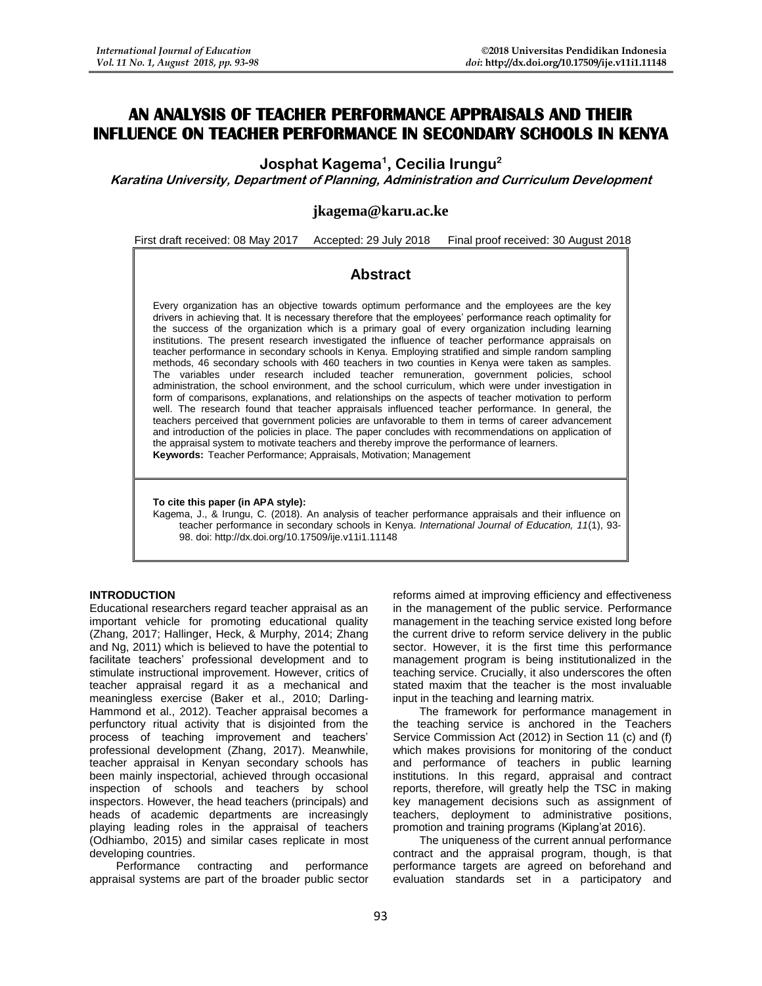# **AN ANALYSIS OF TEACHER PERFORMANCE APPRAISALS AND THEIR INFLUENCE ON TEACHER PERFORMANCE IN SECONDARY SCHOOLS IN KENYA**

**Josphat Kagema<sup>1</sup> , Cecilia Irungu<sup>2</sup>**

**Karatina University, Department of Planning, Administration and Curriculum Development**

## **jkagema@karu.ac.ke**

First draft received: 08 May 2017 Accepted: 29 July 2018 Final proof received: 30 August 2018

## **Abstract**

Every organization has an objective towards optimum performance and the employees are the key drivers in achieving that. It is necessary therefore that the employees' performance reach optimality for the success of the organization which is a primary goal of every organization including learning institutions. The present research investigated the influence of teacher performance appraisals on teacher performance in secondary schools in Kenya. Employing stratified and simple random sampling methods, 46 secondary schools with 460 teachers in two counties in Kenya were taken as samples. The variables under research included teacher remuneration, government policies, school administration, the school environment, and the school curriculum, which were under investigation in form of comparisons, explanations, and relationships on the aspects of teacher motivation to perform well. The research found that teacher appraisals influenced teacher performance. In general, the teachers perceived that government policies are unfavorable to them in terms of career advancement and introduction of the policies in place. The paper concludes with recommendations on application of the appraisal system to motivate teachers and thereby improve the performance of learners. **Keywords:** Teacher Performance; Appraisals, Motivation; Management

**To cite this paper (in APA style):**

Kagema, J., & Irungu, C. (2018). An analysis of teacher performance appraisals and their influence on teacher performance in secondary schools in Kenya. *International Journal of Education, 11*(1), 93- 98. doi: http://dx.doi.org/10.17509/ije.v11i1.11148

## **INTRODUCTION**

Educational researchers regard teacher appraisal as an important vehicle for promoting educational quality (Zhang, 2017; Hallinger, Heck, & Murphy, 2014; Zhang and Ng, 2011) which is believed to have the potential to facilitate teachers' professional development and to stimulate instructional improvement. However, critics of teacher appraisal regard it as a mechanical and meaningless exercise (Baker et al., 2010; Darling-Hammond et al., 2012). Teacher appraisal becomes a perfunctory ritual activity that is disjointed from the process of teaching improvement and teachers' professional development (Zhang, 2017). Meanwhile, teacher appraisal in Kenyan secondary schools has been mainly inspectorial, achieved through occasional inspection of schools and teachers by school inspectors. However, the head teachers (principals) and heads of academic departments are increasingly playing leading roles in the appraisal of teachers (Odhiambo, 2015) and similar cases replicate in most developing countries.

Performance contracting and performance appraisal systems are part of the broader public sector reforms aimed at improving efficiency and effectiveness in the management of the public service. Performance management in the teaching service existed long before the current drive to reform service delivery in the public sector. However, it is the first time this performance management program is being institutionalized in the teaching service. Crucially, it also underscores the often stated maxim that the teacher is the most invaluable input in the teaching and learning matrix.

The framework for performance management in the teaching service is anchored in the Teachers Service Commission Act (2012) in Section 11 (c) and (f) which makes provisions for monitoring of the conduct and performance of teachers in public learning institutions. In this regard, appraisal and contract reports, therefore, will greatly help the TSC in making key management decisions such as assignment of teachers, deployment to administrative positions, promotion and training programs (Kiplang'at 2016).

The uniqueness of the current annual performance contract and the appraisal program, though, is that performance targets are agreed on beforehand and evaluation standards set in a participatory and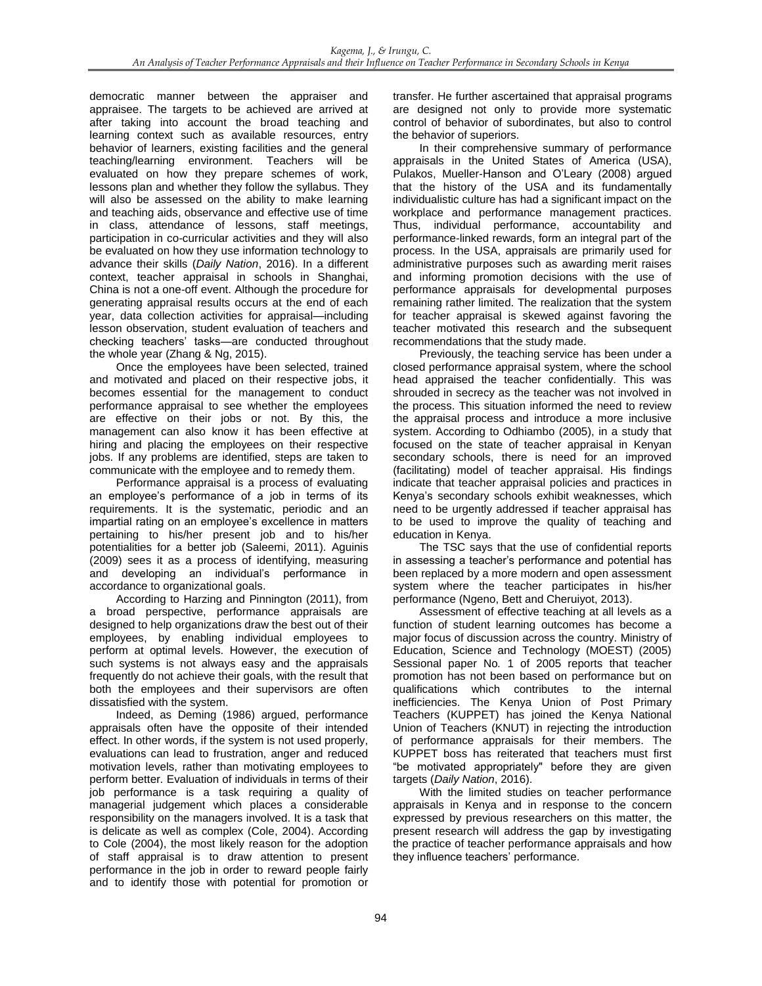democratic manner between the appraiser and appraisee. The targets to be achieved are arrived at after taking into account the broad teaching and learning context such as available resources, entry behavior of learners, existing facilities and the general teaching/learning environment. Teachers will be evaluated on how they prepare schemes of work, lessons plan and whether they follow the syllabus. They will also be assessed on the ability to make learning and teaching aids, observance and effective use of time in class, attendance of lessons, staff meetings, participation in co-curricular activities and they will also be evaluated on how they use information technology to advance their skills (*Daily Nation*, 2016). In a different context, teacher appraisal in schools in Shanghai, China is not a one-off event. Although the procedure for generating appraisal results occurs at the end of each year, data collection activities for appraisal—including lesson observation, student evaluation of teachers and checking teachers' tasks—are conducted throughout the whole year (Zhang & Ng, 2015).

Once the employees have been selected, trained and motivated and placed on their respective jobs, it becomes essential for the management to conduct performance appraisal to see whether the employees are effective on their jobs or not. By this, the management can also know it has been effective at hiring and placing the employees on their respective jobs. If any problems are identified, steps are taken to communicate with the employee and to remedy them.

Performance appraisal is a process of evaluating an employee's performance of a job in terms of its requirements. It is the systematic, periodic and an impartial rating on an employee's excellence in matters pertaining to his/her present job and to his/her potentialities for a better job (Saleemi, 2011). Aguinis (2009) sees it as a process of identifying, measuring and developing an individual's performance in accordance to organizational goals.

According to Harzing and Pinnington (2011), from a broad perspective, performance appraisals are designed to help organizations draw the best out of their employees, by enabling individual employees to perform at optimal levels. However, the execution of such systems is not always easy and the appraisals frequently do not achieve their goals, with the result that both the employees and their supervisors are often dissatisfied with the system.

Indeed, as Deming (1986) argued, performance appraisals often have the opposite of their intended effect. In other words, if the system is not used properly, evaluations can lead to frustration, anger and reduced motivation levels, rather than motivating employees to perform better. Evaluation of individuals in terms of their job performance is a task requiring a quality of managerial judgement which places a considerable responsibility on the managers involved. It is a task that is delicate as well as complex (Cole, 2004). According to Cole (2004), the most likely reason for the adoption of staff appraisal is to draw attention to present performance in the job in order to reward people fairly and to identify those with potential for promotion or

transfer. He further ascertained that appraisal programs are designed not only to provide more systematic control of behavior of subordinates, but also to control the behavior of superiors.

In their comprehensive summary of performance appraisals in the United States of America (USA), Pulakos, Mueller-Hanson and O'Leary (2008) argued that the history of the USA and its fundamentally individualistic culture has had a significant impact on the workplace and performance management practices. Thus, individual performance, accountability and performance-linked rewards, form an integral part of the process. In the USA, appraisals are primarily used for administrative purposes such as awarding merit raises and informing promotion decisions with the use of performance appraisals for developmental purposes remaining rather limited. The realization that the system for teacher appraisal is skewed against favoring the teacher motivated this research and the subsequent recommendations that the study made.

Previously, the teaching service has been under a closed performance appraisal system, where the school head appraised the teacher confidentially. This was shrouded in secrecy as the teacher was not involved in the process. This situation informed the need to review the appraisal process and introduce a more inclusive system. According to Odhiambo (2005), in a study that focused on the state of teacher appraisal in Kenyan secondary schools, there is need for an improved (facilitating) model of teacher appraisal. His findings indicate that teacher appraisal policies and practices in Kenya's secondary schools exhibit weaknesses, which need to be urgently addressed if teacher appraisal has to be used to improve the quality of teaching and education in Kenya.

The TSC says that the use of confidential reports in assessing a teacher's performance and potential has been replaced by a more modern and open assessment system where the teacher participates in his/her performance (Ngeno, Bett and Cheruiyot, 2013).

Assessment of effective teaching at all levels as a function of student learning outcomes has become a major focus of discussion across the country. Ministry of Education, Science and Technology (MOEST) (2005) Sessional paper No*.* 1 of 2005 reports that teacher promotion has not been based on performance but on qualifications which contributes to the internal inefficiencies. The Kenya Union of Post Primary Teachers (KUPPET) has joined the Kenya National Union of Teachers (KNUT) in rejecting the introduction of performance appraisals for their members. The KUPPET boss has reiterated that teachers must first "be motivated appropriately" before they are given targets (*Daily Nation*, 2016).

With the limited studies on teacher performance appraisals in Kenya and in response to the concern expressed by previous researchers on this matter, the present research will address the gap by investigating the practice of teacher performance appraisals and how they influence teachers' performance.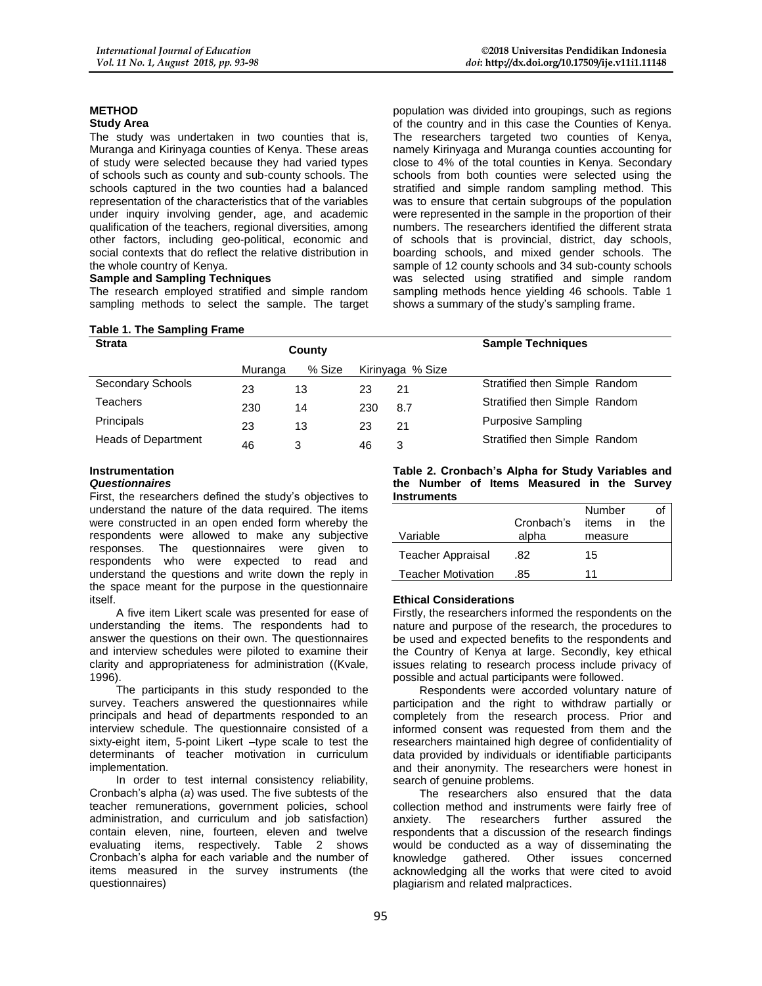#### **METHOD Study Area**

The study was undertaken in two counties that is, Muranga and Kirinyaga counties of Kenya. These areas of study were selected because they had varied types of schools such as county and sub-county schools. The schools captured in the two counties had a balanced representation of the characteristics that of the variables under inquiry involving gender, age, and academic qualification of the teachers, regional diversities, among other factors, including geo-political, economic and social contexts that do reflect the relative distribution in the whole country of Kenya.

#### **Sample and Sampling Techniques**

The research employed stratified and simple random sampling methods to select the sample. The target

#### **Table 1. The Sampling Frame**

population was divided into groupings, such as regions of the country and in this case the Counties of Kenya. The researchers targeted two counties of Kenya, namely Kirinyaga and Muranga counties accounting for close to 4% of the total counties in Kenya. Secondary schools from both counties were selected using the stratified and simple random sampling method. This was to ensure that certain subgroups of the population were represented in the sample in the proportion of their numbers. The researchers identified the different strata of schools that is provincial, district, day schools, boarding schools, and mixed gender schools. The sample of 12 county schools and 34 sub-county schools was selected using stratified and simple random sampling methods hence yielding 46 schools. Table 1 shows a summary of the study's sampling frame.

| <b>Strata</b>              |         | County | <b>Sample Techniques</b> |                  |                               |
|----------------------------|---------|--------|--------------------------|------------------|-------------------------------|
|                            | Muranga | % Size |                          | Kirinyaga % Size |                               |
| Secondary Schools          | 23      | 13     | 23                       | 21               | Stratified then Simple Random |
| Teachers                   | 230     | 14     | 230                      | 8.7              | Stratified then Simple Random |
| Principals                 | 23      | 13     | 23                       | 21               | <b>Purposive Sampling</b>     |
| <b>Heads of Department</b> | 46      | 3      | 46                       | 3                | Stratified then Simple Random |

#### **Instrumentation**

#### *Questionnaires*

First, the researchers defined the study's objectives to understand the nature of the data required. The items were constructed in an open ended form whereby the respondents were allowed to make any subjective responses. The questionnaires were given to respondents who were expected to read and understand the questions and write down the reply in the space meant for the purpose in the questionnaire itself.

A five item Likert scale was presented for ease of understanding the items. The respondents had to answer the questions on their own. The questionnaires and interview schedules were piloted to examine their clarity and appropriateness for administration ((Kvale, 1996).

The participants in this study responded to the survey. Teachers answered the questionnaires while principals and head of departments responded to an interview schedule. The questionnaire consisted of a sixty-eight item, 5-point Likert –type scale to test the determinants of teacher motivation in curriculum implementation.

In order to test internal consistency reliability, Cronbach's alpha (*a*) was used. The five subtests of the teacher remunerations, government policies, school administration, and curriculum and job satisfaction) contain eleven, nine, fourteen, eleven and twelve evaluating items, respectively. Table 2 shows Cronbach's alpha for each variable and the number of items measured in the survey instruments (the questionnaires)

**Table 2. Cronbach's Alpha for Study Variables and the Number of Items Measured in the Survey Instruments**

|                           |            | Number      | Οt  |
|---------------------------|------------|-------------|-----|
|                           | Cronbach's | items<br>in | the |
| Variable                  | alpha      | measure     |     |
| <b>Teacher Appraisal</b>  | .82        | 15          |     |
| <b>Teacher Motivation</b> | .85        | 11          |     |

#### **Ethical Considerations**

Firstly, the researchers informed the respondents on the nature and purpose of the research, the procedures to be used and expected benefits to the respondents and the Country of Kenya at large. Secondly, key ethical issues relating to research process include privacy of possible and actual participants were followed.

Respondents were accorded voluntary nature of participation and the right to withdraw partially or completely from the research process. Prior and informed consent was requested from them and the researchers maintained high degree of confidentiality of data provided by individuals or identifiable participants and their anonymity. The researchers were honest in search of genuine problems.

The researchers also ensured that the data collection method and instruments were fairly free of anxiety. The researchers further assured the respondents that a discussion of the research findings would be conducted as a way of disseminating the knowledge gathered. Other issues concerned acknowledging all the works that were cited to avoid plagiarism and related malpractices.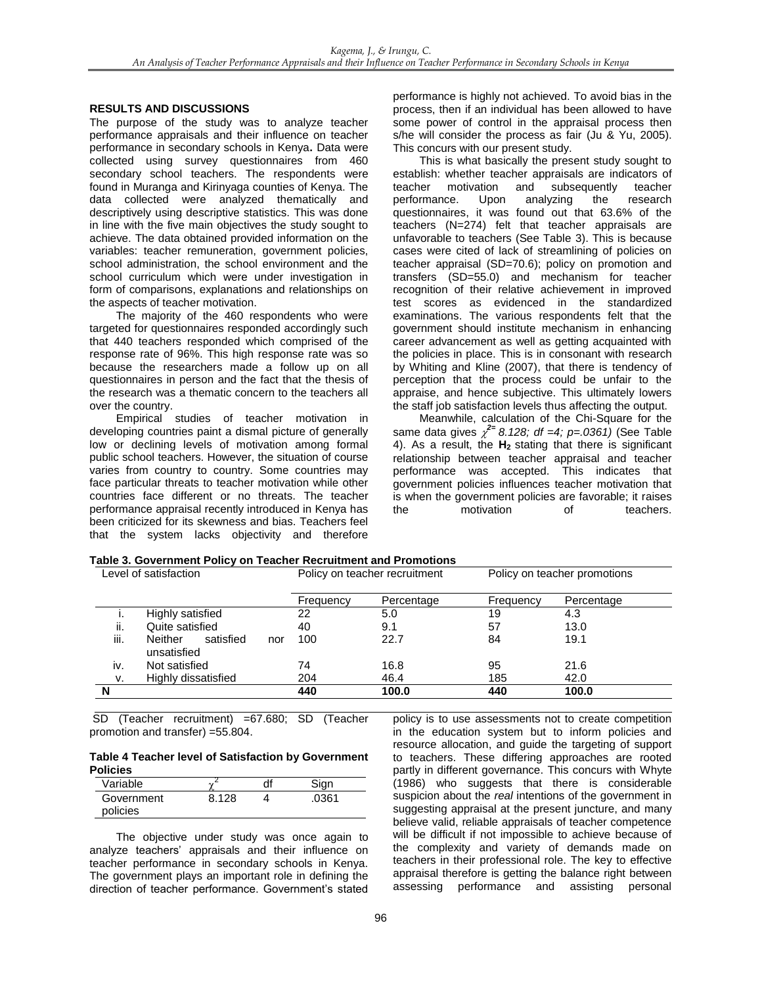### **RESULTS AND DISCUSSIONS**

The purpose of the study was to analyze teacher performance appraisals and their influence on teacher performance in secondary schools in Kenya**.** Data were collected using survey questionnaires from 460 secondary school teachers. The respondents were found in Muranga and Kirinyaga counties of Kenya. The data collected were analyzed thematically and descriptively using descriptive statistics. This was done in line with the five main objectives the study sought to achieve. The data obtained provided information on the variables: teacher remuneration, government policies, school administration, the school environment and the school curriculum which were under investigation in form of comparisons, explanations and relationships on the aspects of teacher motivation.

The majority of the 460 respondents who were targeted for questionnaires responded accordingly such that 440 teachers responded which comprised of the response rate of 96%. This high response rate was so because the researchers made a follow up on all questionnaires in person and the fact that the thesis of the research was a thematic concern to the teachers all over the country.

Empirical studies of teacher motivation in developing countries paint a dismal picture of generally low or declining levels of motivation among formal public school teachers. However, the situation of course varies from country to country. Some countries may face particular threats to teacher motivation while other countries face different or no threats. The teacher performance appraisal recently introduced in Kenya has been criticized for its skewness and bias. Teachers feel that the system lacks objectivity and therefore performance is highly not achieved. To avoid bias in the process, then if an individual has been allowed to have some power of control in the appraisal process then s/he will consider the process as fair (Ju & Yu, 2005). This concurs with our present study.

This is what basically the present study sought to establish: whether teacher appraisals are indicators of teacher motivation and subsequently teacher performance. Upon analyzing the research questionnaires, it was found out that 63.6% of the teachers (N=274) felt that teacher appraisals are unfavorable to teachers (See Table 3). This is because cases were cited of lack of streamlining of policies on teacher appraisal (SD=70.6); policy on promotion and transfers (SD=55.0) and mechanism for teacher recognition of their relative achievement in improved test scores as evidenced in the standardized examinations. The various respondents felt that the government should institute mechanism in enhancing career advancement as well as getting acquainted with the policies in place. This is in consonant with research by Whiting and Kline (2007), that there is tendency of perception that the process could be unfair to the appraise, and hence subjective. This ultimately lowers the staff job satisfaction levels thus affecting the output.

Meanwhile, calculation of the Chi-Square for the same data gives  $\chi^{2=}$  8.128; df =4; p=.0361) (See Table 4). As a result, the **H2** stating that there is significant relationship between teacher appraisal and teacher performance was accepted. This indicates that government policies influences teacher motivation that is when the government policies are favorable; it raises the motivation of teachers.

| Level of satisfaction |                                            |           | Policy on teacher recruitment |           | Policy on teacher promotions |  |
|-----------------------|--------------------------------------------|-----------|-------------------------------|-----------|------------------------------|--|
|                       |                                            | Frequency | Percentage                    | Frequency | Percentage                   |  |
|                       | Highly satisfied                           | 22        | 5.0                           | 19        | 4.3                          |  |
| ii.                   | Quite satisfied                            | 40        | 9.1                           | 57        | 13.0                         |  |
| iii.                  | satisfied<br>Neither<br>nor<br>unsatisfied | 100       | 22.7                          | 84        | 19.1                         |  |
| iv.                   | Not satisfied                              | 74        | 16.8                          | 95        | 21.6                         |  |
| v.                    | Highly dissatisfied                        | 204       | 46.4                          | 185       | 42.0                         |  |
| N                     |                                            | 440       | 100.0                         | 440       | 100.0                        |  |

SD (Teacher recruitment) =67.680; SD (Teacher promotion and transfer) =55.804.

**Table 4 Teacher level of Satisfaction by Government Policies**

| Variable   |       | Sign  |
|------------|-------|-------|
| Government | 8.128 | .0361 |
| policies   |       |       |

The objective under study was once again to analyze teachers' appraisals and their influence on teacher performance in secondary schools in Kenya. The government plays an important role in defining the direction of teacher performance. Government's stated policy is to use assessments not to create competition in the education system but to inform policies and resource allocation, and guide the targeting of support to teachers. These differing approaches are rooted partly in different governance. This concurs with Whyte (1986) who suggests that there is considerable suspicion about the *real* intentions of the government in suggesting appraisal at the present juncture, and many believe valid, reliable appraisals of teacher competence will be difficult if not impossible to achieve because of the complexity and variety of demands made on teachers in their professional role. The key to effective appraisal therefore is getting the balance right between assessing performance and assisting personal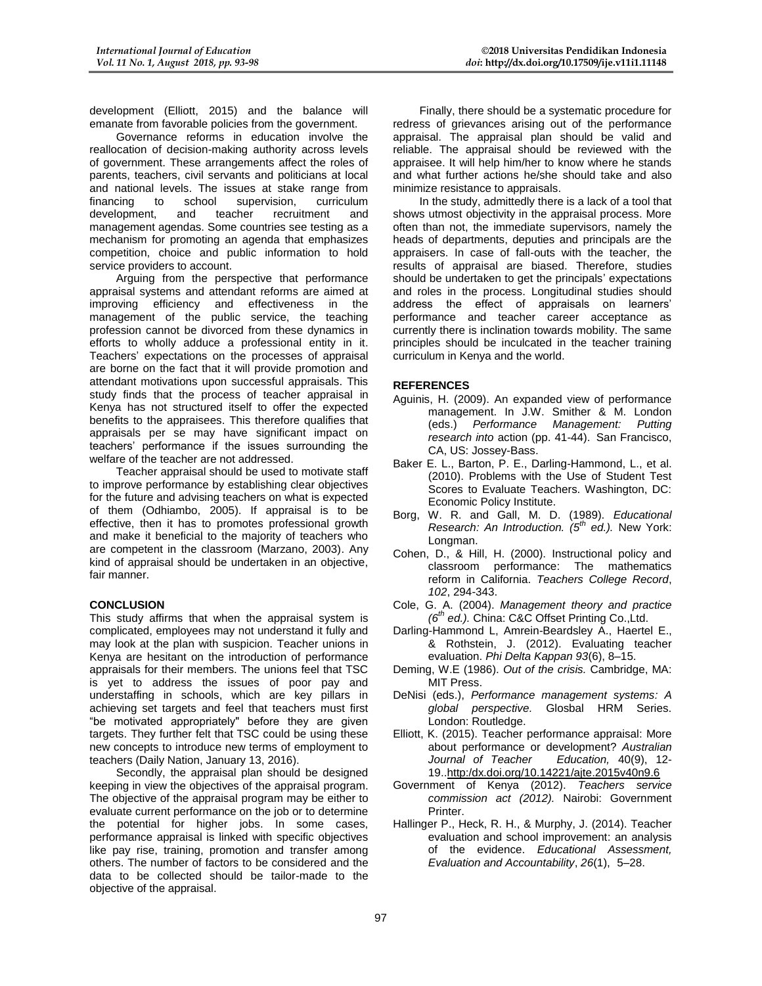development (Elliott, 2015) and the balance will emanate from favorable policies from the government.

Governance reforms in education involve the reallocation of decision-making authority across levels of government. These arrangements affect the roles of parents, teachers, civil servants and politicians at local and national levels. The issues at stake range from financing to school supervision, curriculum development, and teacher recruitment and management agendas. Some countries see testing as a mechanism for promoting an agenda that emphasizes competition, choice and public information to hold service providers to account.

Arguing from the perspective that performance appraisal systems and attendant reforms are aimed at improving efficiency and effectiveness in the management of the public service, the teaching profession cannot be divorced from these dynamics in efforts to wholly adduce a professional entity in it. Teachers' expectations on the processes of appraisal are borne on the fact that it will provide promotion and attendant motivations upon successful appraisals. This study finds that the process of teacher appraisal in Kenya has not structured itself to offer the expected benefits to the appraisees. This therefore qualifies that appraisals per se may have significant impact on teachers' performance if the issues surrounding the welfare of the teacher are not addressed.

Teacher appraisal should be used to motivate staff to improve performance by establishing clear objectives for the future and advising teachers on what is expected of them (Odhiambo, 2005). If appraisal is to be effective, then it has to promotes professional growth and make it beneficial to the majority of teachers who are competent in the classroom (Marzano, 2003). Any kind of appraisal should be undertaken in an objective, fair manner.

#### **CONCLUSION**

This study affirms that when the appraisal system is complicated, employees may not understand it fully and may look at the plan with suspicion. Teacher unions in Kenya are hesitant on the introduction of performance appraisals for their members. The unions feel that TSC is yet to address the issues of poor pay and understaffing in schools, which are key pillars in achieving set targets and feel that teachers must first "be motivated appropriately" before they are given targets. They further felt that TSC could be using these new concepts to introduce new terms of employment to teachers (Daily Nation, January 13, 2016).

Secondly, the appraisal plan should be designed keeping in view the objectives of the appraisal program. The objective of the appraisal program may be either to evaluate current performance on the job or to determine the potential for higher jobs. In some cases, performance appraisal is linked with specific objectives like pay rise, training, promotion and transfer among others. The number of factors to be considered and the data to be collected should be tailor-made to the objective of the appraisal.

Finally, there should be a systematic procedure for redress of grievances arising out of the performance appraisal. The appraisal plan should be valid and reliable. The appraisal should be reviewed with the appraisee. It will help him/her to know where he stands and what further actions he/she should take and also minimize resistance to appraisals.

In the study, admittedly there is a lack of a tool that shows utmost objectivity in the appraisal process. More often than not, the immediate supervisors, namely the heads of departments, deputies and principals are the appraisers. In case of fall-outs with the teacher, the results of appraisal are biased. Therefore, studies should be undertaken to get the principals' expectations and roles in the process. Longitudinal studies should address the effect of appraisals on learners' performance and teacher career acceptance as currently there is inclination towards mobility. The same principles should be inculcated in the teacher training curriculum in Kenya and the world.

## **REFERENCES**

- Aguinis, H. (2009). An expanded view of performance management. In J.W. Smither & M. London (eds.) *Performance Management: Putting research into* action (pp. 41-44). San Francisco, CA, US: Jossey-Bass.
- Baker E. L., Barton, P. E., Darling-Hammond, L., et al. (2010). Problems with the Use of Student Test Scores to Evaluate Teachers. Washington, DC: Economic Policy Institute.
- Borg, W. R. and Gall, M. D. (1989). *Educational Research: An Introduction. (5th ed.).* New York: Longman.
- Cohen, D., & Hill, H. (2000). Instructional policy and classroom performance: The mathematics reform in California. *Teachers College Record*, *102*, 294-343.
- Cole, G. A. (2004). *Management theory and practice (6th ed.).* China: C&C Offset Printing Co.,Ltd.
- Darling-Hammond L, Amrein-Beardsley A., Haertel E., & Rothstein, J. (2012). Evaluating teacher evaluation. *Phi Delta Kappan 93*(6), 8–15.
- Deming, W.E (1986). *Out of the crisis.* Cambridge, MA: MIT Press.
- DeNisi (eds.), *Performance management systems: A global perspective.* Glosbal HRM Series. London: Routledge.
- Elliott, K. (2015). Teacher performance appraisal: More about performance or development? *Australian Journal of Teacher Education,* 40(9), 12- 19..http:/dx.doi.org/10.14221/ajte.2015v40n9.6
- Government of Kenya (2012). *Teachers service commission act (2012).* Nairobi: Government Printer.
- Hallinger P., Heck, R. H., & Murphy, J. (2014). Teacher evaluation and school improvement: an analysis of the evidence. *Educational Assessment, Evaluation and Accountability*, *26*(1), 5–28.